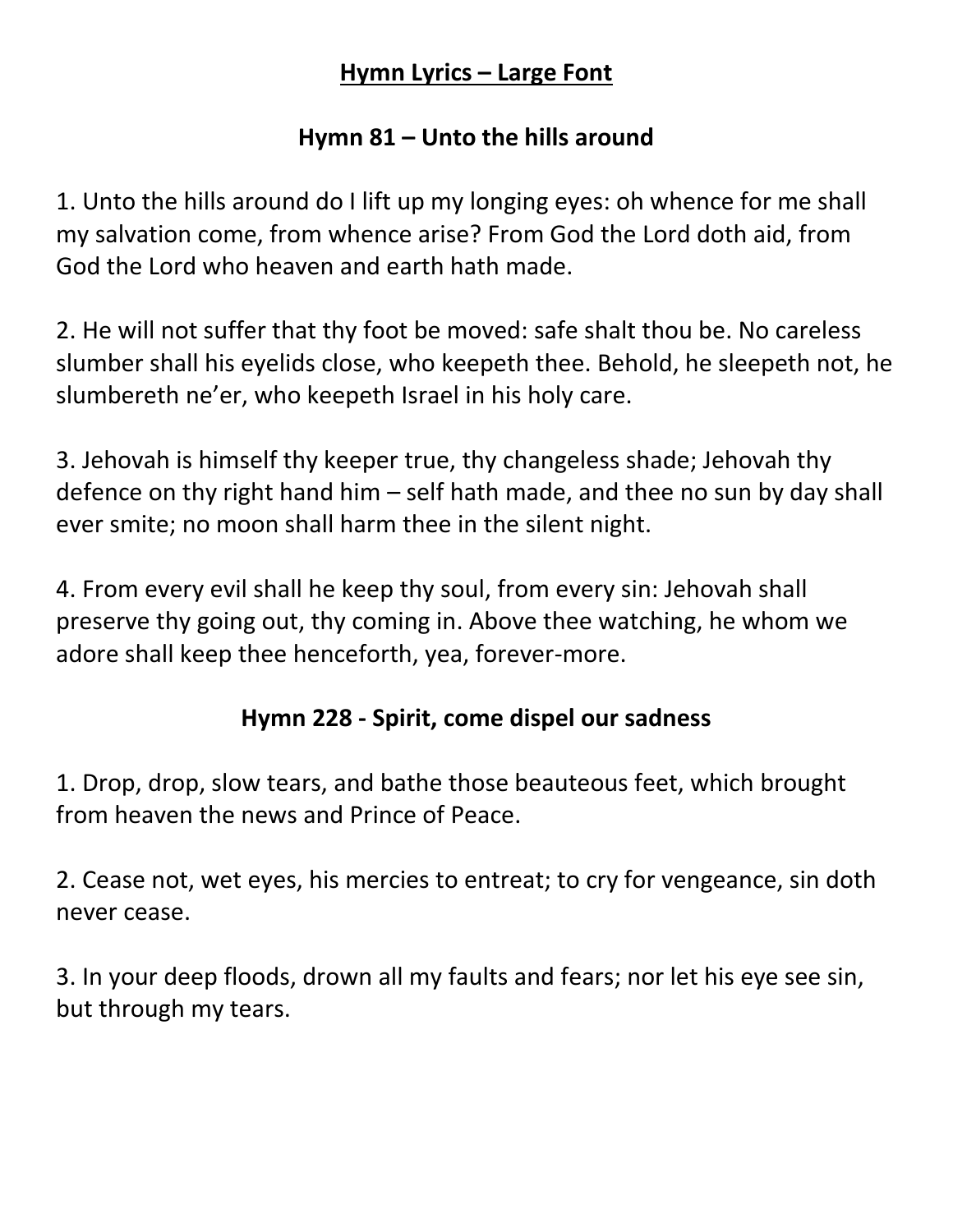#### **Hymn Lyrics – Large Font**

### **Hymn 81 – Unto the hills around**

1. Unto the hills around do I lift up my longing eyes: oh whence for me shall my salvation come, from whence arise? From God the Lord doth aid, from God the Lord who heaven and earth hath made.

2. He will not suffer that thy foot be moved: safe shalt thou be. No careless slumber shall his eyelids close, who keepeth thee. Behold, he sleepeth not, he slumbereth ne'er, who keepeth Israel in his holy care.

3. Jehovah is himself thy keeper true, thy changeless shade; Jehovah thy defence on thy right hand him – self hath made, and thee no sun by day shall ever smite; no moon shall harm thee in the silent night.

4. From every evil shall he keep thy soul, from every sin: Jehovah shall preserve thy going out, thy coming in. Above thee watching, he whom we adore shall keep thee henceforth, yea, forever-more.

## **Hymn 228 - Spirit, come dispel our sadness**

1. Drop, drop, slow tears, and bathe those beauteous feet, which brought from heaven the news and Prince of Peace.

2. Cease not, wet eyes, his mercies to entreat; to cry for vengeance, sin doth never cease.

3. In your deep floods, drown all my faults and fears; nor let his eye see sin, but through my tears.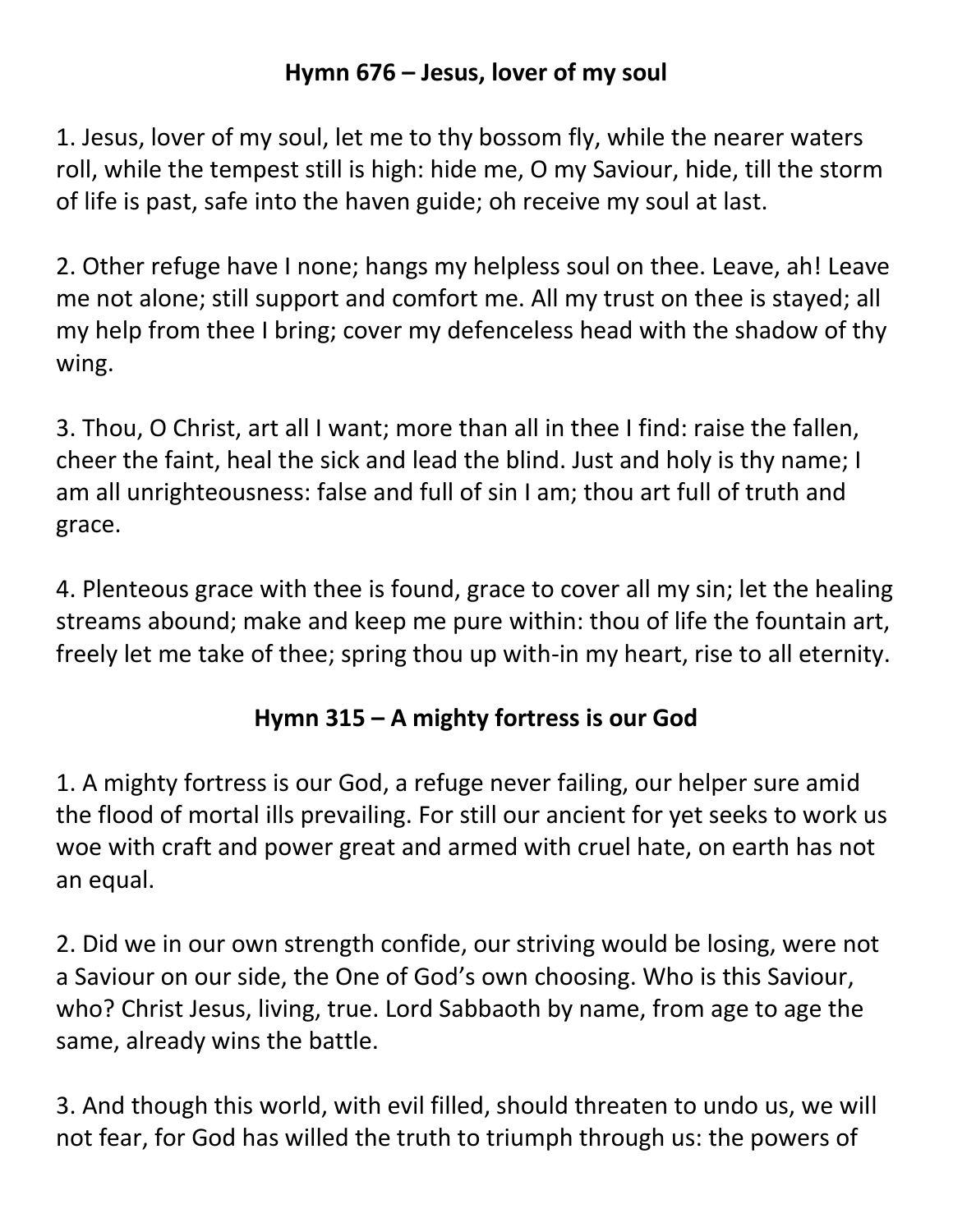### **Hymn 676 – Jesus, lover of my soul**

1. Jesus, lover of my soul, let me to thy bossom fly, while the nearer waters roll, while the tempest still is high: hide me, O my Saviour, hide, till the storm of life is past, safe into the haven guide; oh receive my soul at last.

2. Other refuge have I none; hangs my helpless soul on thee. Leave, ah! Leave me not alone; still support and comfort me. All my trust on thee is stayed; all my help from thee I bring; cover my defenceless head with the shadow of thy wing.

3. Thou, O Christ, art all I want; more than all in thee I find: raise the fallen, cheer the faint, heal the sick and lead the blind. Just and holy is thy name; I am all unrighteousness: false and full of sin I am; thou art full of truth and grace.

4. Plenteous grace with thee is found, grace to cover all my sin; let the healing streams abound; make and keep me pure within: thou of life the fountain art, freely let me take of thee; spring thou up with-in my heart, rise to all eternity.

# **Hymn 315 – A mighty fortress is our God**

1. A mighty fortress is our God, a refuge never failing, our helper sure amid the flood of mortal ills prevailing. For still our ancient for yet seeks to work us woe with craft and power great and armed with cruel hate, on earth has not an equal.

2. Did we in our own strength confide, our striving would be losing, were not a Saviour on our side, the One of God's own choosing. Who is this Saviour, who? Christ Jesus, living, true. Lord Sabbaoth by name, from age to age the same, already wins the battle.

3. And though this world, with evil filled, should threaten to undo us, we will not fear, for God has willed the truth to triumph through us: the powers of